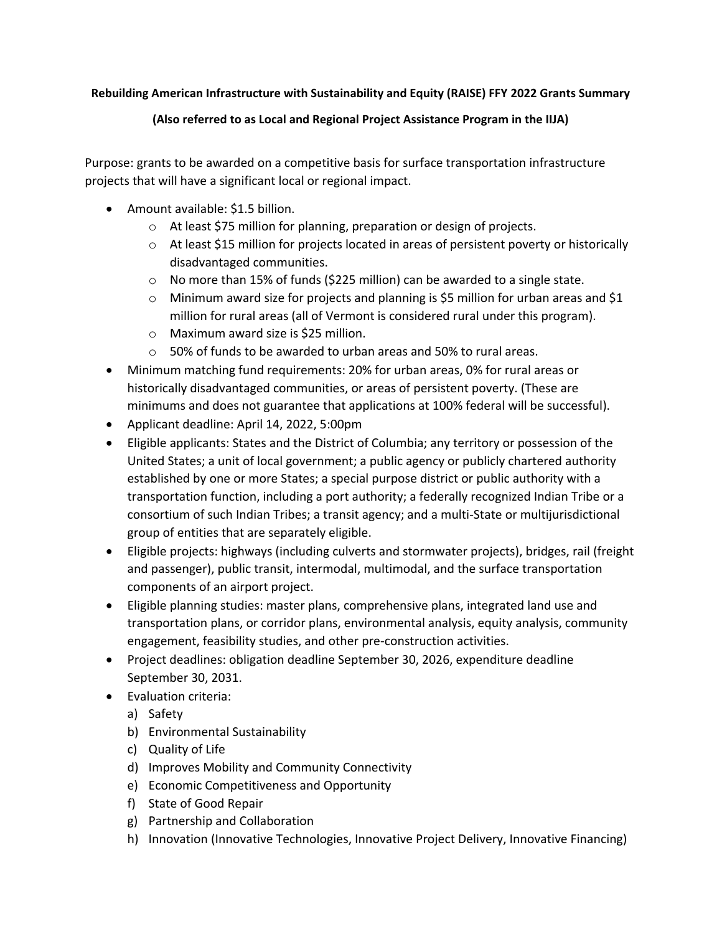## **Rebuilding American Infrastructure with Sustainability and Equity (RAISE) FFY 2022 Grants Summary**

## **(Also referred to as Local and Regional Project Assistance Program in the IIJA)**

Purpose: grants to be awarded on a competitive basis for surface transportation infrastructure projects that will have a significant local or regional impact.

- Amount available: \$1.5 billion.
	- o At least \$75 million for planning, preparation or design of projects.
	- $\circ$  At least \$15 million for projects located in areas of persistent poverty or historically disadvantaged communities.
	- $\circ$  No more than 15% of funds (\$225 million) can be awarded to a single state.
	- $\circ$  Minimum award size for projects and planning is \$5 million for urban areas and \$1 million for rural areas (all of Vermont is considered rural under this program).
	- o Maximum award size is \$25 million.
	- o 50% of funds to be awarded to urban areas and 50% to rural areas.
- Minimum matching fund requirements: 20% for urban areas, 0% for rural areas or historically disadvantaged communities, or areas of persistent poverty. (These are minimums and does not guarantee that applications at 100% federal will be successful).
- Applicant deadline: April 14, 2022, 5:00pm
- Eligible applicants: States and the District of Columbia; any territory or possession of the United States; a unit of local government; a public agency or publicly chartered authority established by one or more States; a special purpose district or public authority with a transportation function, including a port authority; a federally recognized Indian Tribe or a consortium of such Indian Tribes; a transit agency; and a multi-State or multijurisdictional group of entities that are separately eligible.
- Eligible projects: highways (including culverts and stormwater projects), bridges, rail (freight and passenger), public transit, intermodal, multimodal, and the surface transportation components of an airport project.
- Eligible planning studies: master plans, comprehensive plans, integrated land use and transportation plans, or corridor plans, environmental analysis, equity analysis, community engagement, feasibility studies, and other pre-construction activities.
- Project deadlines: obligation deadline September 30, 2026, expenditure deadline September 30, 2031.
- Evaluation criteria:
	- a) Safety
	- b) Environmental Sustainability
	- c) Quality of Life
	- d) Improves Mobility and Community Connectivity
	- e) Economic Competitiveness and Opportunity
	- f) State of Good Repair
	- g) Partnership and Collaboration
	- h) Innovation (Innovative Technologies, Innovative Project Delivery, Innovative Financing)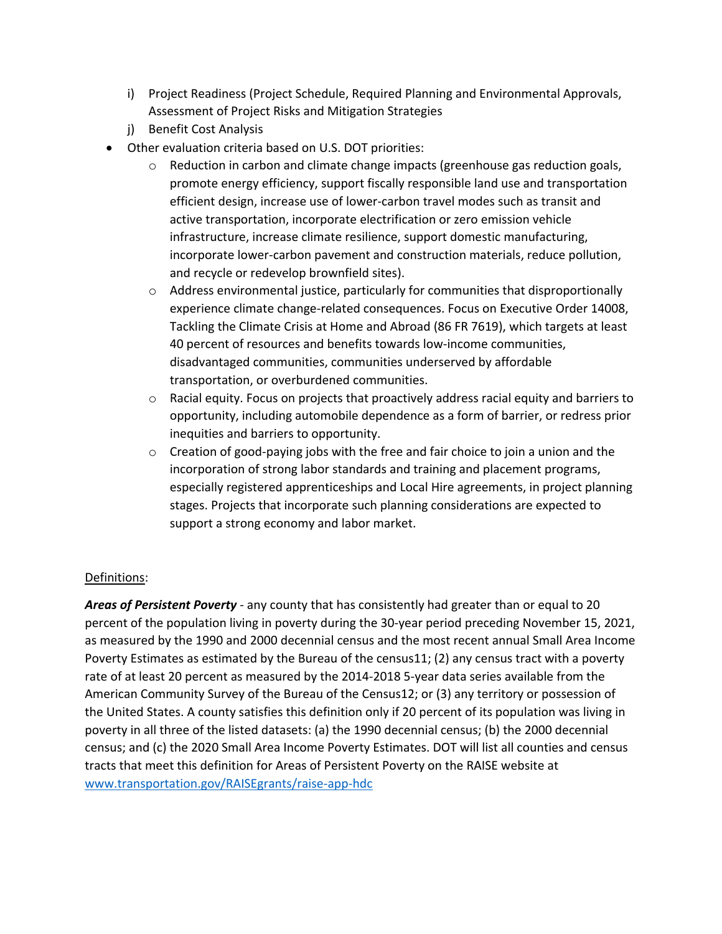- i) Project Readiness (Project Schedule, Required Planning and Environmental Approvals, Assessment of Project Risks and Mitigation Strategies
- j) Benefit Cost Analysis
- Other evaluation criteria based on U.S. DOT priorities:
	- $\circ$  Reduction in carbon and climate change impacts (greenhouse gas reduction goals, promote energy efficiency, support fiscally responsible land use and transportation efficient design, increase use of lower-carbon travel modes such as transit and active transportation, incorporate electrification or zero emission vehicle infrastructure, increase climate resilience, support domestic manufacturing, incorporate lower-carbon pavement and construction materials, reduce pollution, and recycle or redevelop brownfield sites).
	- o Address environmental justice, particularly for communities that disproportionally experience climate change-related consequences. Focus on Executive Order 14008, Tackling the Climate Crisis at Home and Abroad (86 FR 7619), which targets at least 40 percent of resources and benefits towards low-income communities, disadvantaged communities, communities underserved by affordable transportation, or overburdened communities.
	- $\circ$  Racial equity. Focus on projects that proactively address racial equity and barriers to opportunity, including automobile dependence as a form of barrier, or redress prior inequities and barriers to opportunity.
	- $\circ$  Creation of good-paying jobs with the free and fair choice to join a union and the incorporation of strong labor standards and training and placement programs, especially registered apprenticeships and Local Hire agreements, in project planning stages. Projects that incorporate such planning considerations are expected to support a strong economy and labor market.

## Definitions:

*Areas of Persistent Poverty* - any county that has consistently had greater than or equal to 20 percent of the population living in poverty during the 30-year period preceding November 15, 2021, as measured by the 1990 and 2000 decennial census and the most recent annual Small Area Income Poverty Estimates as estimated by the Bureau of the census11; (2) any census tract with a poverty rate of at least 20 percent as measured by the 2014-2018 5-year data series available from the American Community Survey of the Bureau of the Census12; or (3) any territory or possession of the United States. A county satisfies this definition only if 20 percent of its population was living in poverty in all three of the listed datasets: (a) the 1990 decennial census; (b) the 2000 decennial census; and (c) the 2020 Small Area Income Poverty Estimates. DOT will list all counties and census tracts that meet this definition for Areas of Persistent Poverty on the RAISE website at [www.transportation.gov/RAISEgrants/raise-app-hdc](http://www.transportation.gov/RAISEgrants/raise-app-hdc)